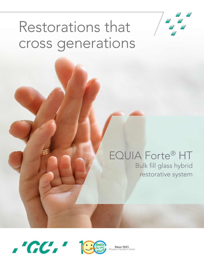

# Restorations that cross generations

# EQUIA Forte® HT

Bulk fill glass hybrid restorative system





**Since 1921**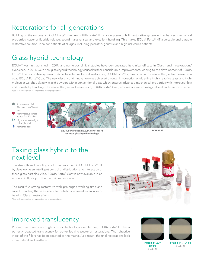# Restorations for all generations

Building on the success of EQUIA Forte®, the new EQUIA Forte® HT is a long-term bulk fill restorative system with enhanced mechanical properties, superior fluoride release, sound marginal seal and excellent handling. This makes EQUIA Forte® HT a versatile and durable restorative solution, ideal for patients of all ages, including pediatric, geriatric and high-risk caries patients.

## Glass hybrid technology

EQUIA® was first launched in 2007, and numerous clinical studies have demonstrated its clinical efficacy in Class I and II restorations\* ever since. In 2014, GC's new glass hybrid technology caused further considerable improvements, leading to the development of EQUIA Forte®. This restorative system combined a self-cure, bulk fill restorative, EQUIA Forte® Fil, laminated with a nano-filled, self-adhesive resin coat, EQUIA Forte® Coat. The new glass hybrid innovation was achieved through introduction of ultra-fine highly reactive glass and highmolecular weight polyacrylic acid powders within conventional glass which ensures advanced mechanical properties with improved flow and non-sticky handling. The nano-filled, self-adhesive resin, EQUIA Forte® Coat, ensures optimized marginal seal and wear resistance. \*See technique guide for suggested cavity preparations.

Surface-treated FAS (Fluoro Alumino Silicate) glass Highly reactive surfacetreated fine FAS glass High-molecular-weight polyacrylic acid Polyacrylic acid



EQUIA Forte® Fil and EQUIA Forte® HT Fil advanced glass hybrid technology



EQUIA® Fil

### Taking glass hybrid to the next level

The strength and handling are further improved in EQUIA Forte® HT by developing an intelligent control of distribution and interaction of these glass particles. Also, EQUIA Forte® Coat is now available in an ergonomic flip-top bottle that minimizes waste.

The result? A strong restorative with prolonged working time and superb handling that is excellent for bulk-fill placement, even in loadbearing Class II restorations.<sup>\*</sup>

\*See technique guide for suggested cavity preparations.



#### Improved translucency

Pushing the boundaries of glass hybrid technology even further, EQUIA Forte® HT has a perfectly adapted translucency for better looking posterior restorations. The refractive index of the fillers has been adapted to the matrix. As a result, the final restorations look more natural and aesthetic<sup>7</sup>.





EQUIA Forte® HT Fil Shade A2

EQUIA Forte® Fil Shade A2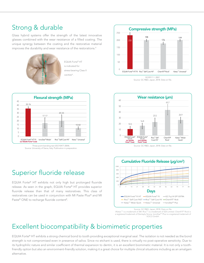### Strong & durable

Glass hybrid systems offer the strength of the latest innovative glasses combined with the wear resistance of a filled coating. The unique synergy between the coating and the restorative material improves the durability and wear resistance of the restorations.<sup>4</sup>



EQUIA Forte® HT is indicated for stress-bearing Class II cavities\*.



Source: University of Siena, Italy. Publication in preparation.

## Superior fluoride release

EQUIA Forte® HT exhibits not only high but prolonged fluoride release. As seen in the graph, EQUIA Forte® HT provides superior fluoride release than that of many restoratives. This class of restoratives can be used in conjunction with MI Paste Plus® and MI Paste® ONE to recharge fluoride content<sup>8</sup>.





Source: GC R&D, Japan, 2018. Data on file.



Source: GC R&D, Japan, 2018. Data on file.

†Ketac™† is a trademark of 3M. Riva™† is a trademark of SDI Limited. ChemFil®† Rock is I Netach is a trademark of Sivil Kivan in standardian of SDT Limited. Chemining Nock is<br>In registered trademark of Dentsply Sironal lonoStar®† Plus is a registered trademark of VOCO GmbH.

#### Excellent biocompatibility & biomimetic properties

EQUIA Forte® HT exhibits a strong chemical bond to tooth providing exceptional marginal seal. The isolation is not needed as the bond 200 strength is not compromised even in presence of saliva. Since no etchant is used, there is virtually no post-operative sensitivity. Due to its hydrophilic nature and similar coefficient of thermal expansion to dentin, it is an excellent biomimetic material. It is not only a tooth-Days friendly option but also an environment-friendly solution, making it a great choice for multiple clinical situations including as an amalgam alternative.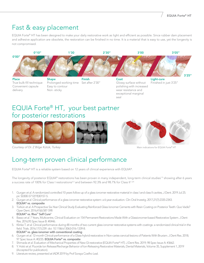## Fast & easy placement

EQUIA Forte® HT has been designed to make your daily restorative work as light and efficient as possible. Since rubber dam placement and adhesive application are obsolete, the restoration can be finished in no time. It is a material that is easy to use, yet the longevity is not compromised.



### EQUIA Forte® HT, your best partner for posterior restorations





*Courtesy of Dr. Z Bilge Kütük, Turkey*

Main indications for EQUIA Forte® HT

## Long-term proven clinical performance

EQUIA Forte® HT is a reliable system based on 12 years of clinical experience with EQUIA®.

The longevity of posterior EQUIA® restorations has been proven in many independent, long-term clinical studies<sup>1-5</sup> showing after 6 years a success rate of 100% for Class I restorations<sup>2-3</sup> and between 92.3% and 98.7% for Class II<sup>1-3,9.</sup>

- 1. Gurgan et al. A randomized controlled 10 years follow up of a glass ionomer restorative material in class I and class II cavities, J Dent. 2019 Jul 25. pii: S0300-5712(19)30157-5.
- 2. Gurgan *et al.* Clinical performance of a glass ionomer restorative system: a 6-year evaluation. Clin Oral Investig. 2017;21(7):2335-2343. EQUIA® vs. composite
- 3. Türkün *et al.* A Prospective Six-Year Clinical Study Evaluating Reinforced Glass Ionomer Cements with Resin Coating on Posterior Teeth: Quo Vadis? Oper Dent. 2016;41(6):587-598

#### EQUIA® vs. Riva™ Self Cure†

- 4. Basso *et al.* 7 Years, Multicentre, Clinical Evaluation on 154 Permanent Restorations Made With a Glassionomer-based Restorative System. J Dent Res. 2016;95 Spec Issue B: #0446.
- 5. Klinke T. *et al.* Clinical performance during 48 months of two current glass ionomer restorative systems with coatings: a randomized clinical trial in the field. Trials. 2016;17(1):239. doi: 10.1186/s13063-016-1339-8. EQUIA® vs. glass ionomer with conventional coating
- 6. Gurgan *et al.* 12-month Clinical-performance of a Glass-hybrid-restorative in Non-caries-cervical-lesions of Patients With Bruxism. J Dent Res. 2018; 97 Spec Issue A: #0235. **EQUIA Forte<sup>®</sup> vs. composite**
- 7. Shimada *et al.* Evaluation of Mechanical Properties of New GI-restorative (EQUIA Forte® HT). J Dent Res. 2019; 98 Spec Issue A: #3662.
- 8. Y. Hokii *et al.* Fluoride Ion Release/Recharge Behavior of Ion-Releasing Restorative Materials, Dental Materials, Volume 35, Supplement 1, 2019 (Accepted for publication).
- 9. Literature review, presented at IADR 2019 by Prof Soraya Coelho Leal.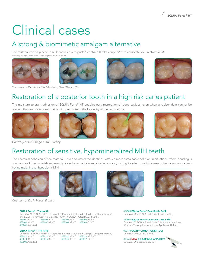# Clinical cases

### A strong & biomimetic amalgam alternative

The material can be placed in bulk and is easy to pack & contour. It takes only 3'25" to complete your restorations!\* ming average procedure times follo





*Courtesy of Dr. Victor Cedillo Felix, San Diego, CA.*





# Restoration of a posterior tooth in a high risk caries patient

The moisture tolerant adhesion of EQUIA Forte® HT enables easy restoration of deep cavities, even when a rubber dam cannot be placed. The use of sectional matrix will contribute to the longevity of the restorations.









*Courtesy of Dr. Z Bilge Kütük, Turkey*

# Restoration of sensitive, hypomineralized MIH teeth

The chemical adhesion of the material – even to untreated dentine - offers a more sustainable solution in situations where bonding is compromised. The material can be easily placed after partial manual caries removal, making it easier to use in hypersensitive patients or patients having molar incisor hypoplasia (MIH).



*Courtesy of Dr. P. Rouas, France*

#### **EQU**

| <b>EQUIA Forte<sup>®</sup> HT Intro Kit</b> |              |                             |                                                                                          |  |
|---------------------------------------------|--------------|-----------------------------|------------------------------------------------------------------------------------------|--|
|                                             |              |                             | Contains: 48 EQUIA Forte® HT Capsules (Powder 0.4g, Liquid: 0.13g (0.10mL) per capsule), |  |
|                                             |              |                             | one EQUIA Forte® Coat (4mL) bottle, 1 CAVITY CONDITIONER (GC) (5.7mL).                   |  |
| 453001 A1 HT 453002 A2 HT                   |              | 453003 A3 HT 453004 A3.5 HT |                                                                                          |  |
| 453006 B1 HT                                | 453007 B2 HT | 453008 B3 HT 453009 C4 HT   |                                                                                          |  |
| 453005 Assorted                             |              |                             |                                                                                          |  |

#### EQUIA Forte® HT Fil Refill

|                 |                          |                             | Contains: 48 EQUIA Forte® HT Capsules (Powder 0.4q, Liquid: 0.13q (0.10mL) per capsule). |
|-----------------|--------------------------|-----------------------------|------------------------------------------------------------------------------------------|
| 453010 A1 HT    | 453011 A2 HT             | 453012 A3 HT 453013 A3.5 HT |                                                                                          |
| 453014 B1 HT    | 453015 B <sub>2</sub> HT | 453016 B3 HT                | 453017 C4 HT                                                                             |
| 453000 Assorted |                          |                             |                                                                                          |





#### 452500 EQUIA Forte® Coat Bottle Refill Contains: One EQUIA Forte® Coat (4mL) bottle.

452505 EQUIA Forte® Coat Unit Dose Refill Contains: 50 EQUIA Forte® Coat (0.1mL each) unit doses, 50 Micro-Tip Applicators and one Applicator Holder.

000110 CAVITY CONDITIONER (GC) Contains: One (5.7mL) bottle.

013764 NEW GC CAPSULE APPLIER V Contains: One capsule applier.